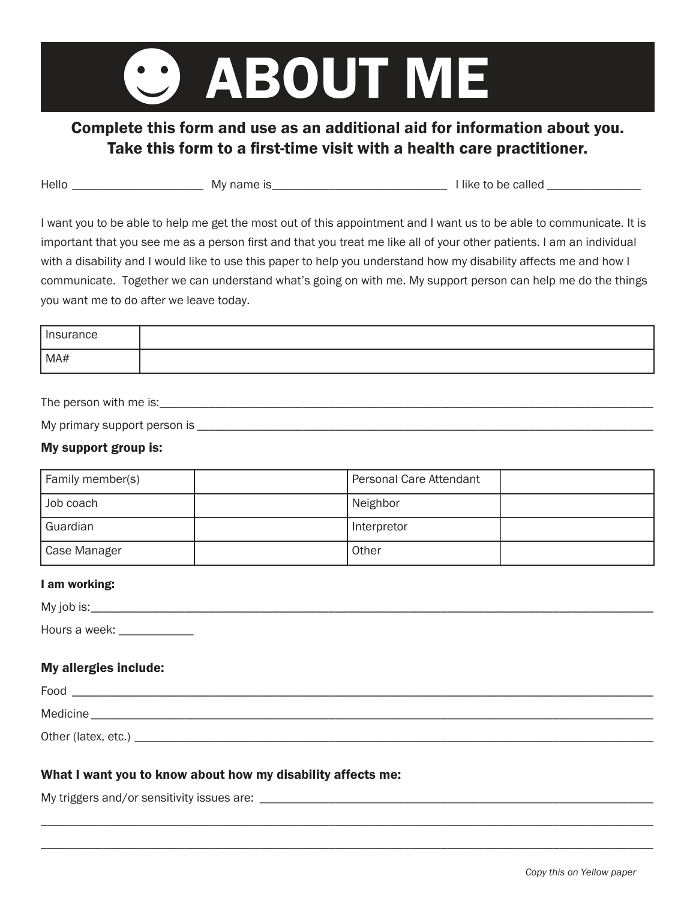# ABOUT ME

# Complete this form and use as an additional aid for information about you. Take this form to a first-time visit with a health care practitioner.

| Hello<br>.<br>MV<br>.likt<br>не<br>на | ne<br>$\cdots$<br>. |
|---------------------------------------|---------------------|
|---------------------------------------|---------------------|

I want you to be able to help me get the most out of this appointment and I want us to be able to communicate. It is important that you see me as a person first and that you treat me like all of your other patients. I am an individual with a disability and I would like to use this paper to help you understand how my disability affects me and how I communicate. Together we can understand what's going on with me. My support person can help me do the things you want me to do after we leave today.

| Insurance |  |
|-----------|--|
| MA#       |  |

The person with me is: **with the set of the set of the set of the set of the set of the set of the set of the set of the set of the set of the set of the set of the set of the set of the set of the set of the set of the se** 

| My primary support person is |  |
|------------------------------|--|
|                              |  |

#### My support group is:

| Family member(s) | Personal Care Attendant |  |
|------------------|-------------------------|--|
| Job coach        | Neighbor                |  |
| Guardian         | Interpretor             |  |
| Case Manager     | Other                   |  |

#### I am working:

| My job is:                       |  |  |
|----------------------------------|--|--|
| Hours a week:<br>_______________ |  |  |

#### My allergies include:

| Food                |
|---------------------|
| <b>Medicine</b>     |
| Other (latex, etc.) |

\_\_\_\_\_\_\_\_\_\_\_\_\_\_\_\_\_\_\_\_\_\_\_\_\_\_\_\_\_\_\_\_\_\_\_\_\_\_\_\_\_\_\_\_\_\_\_\_\_\_\_\_\_\_\_\_\_\_\_\_\_\_\_\_\_\_\_\_\_\_\_\_\_\_\_\_\_\_\_\_\_\_\_\_\_\_\_\_\_\_\_\_\_\_\_\_\_\_ \_\_\_\_\_\_\_\_\_\_\_\_\_\_\_\_\_\_\_\_\_\_\_\_\_\_\_\_\_\_\_\_\_\_\_\_\_\_\_\_\_\_\_\_\_\_\_\_\_\_\_\_\_\_\_\_\_\_\_\_\_\_\_\_\_\_\_\_\_\_\_\_\_\_\_\_\_\_\_\_\_\_\_\_\_\_\_\_\_\_\_\_\_\_\_\_\_\_

#### What I want you to know about how my disability affects me:

My triggers and/or sensitivity issues are: \_\_\_\_\_\_\_\_\_\_\_\_\_\_\_\_\_\_\_\_\_\_\_\_\_\_\_\_\_\_\_\_\_\_\_\_\_\_\_\_\_\_\_\_\_\_\_\_\_\_\_\_\_\_\_\_\_\_\_\_\_\_\_